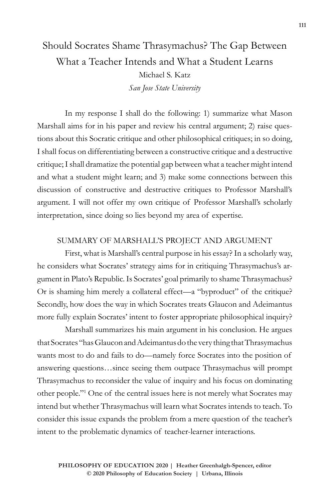## Should Socrates Shame Thrasymachus? The Gap Between What a Teacher Intends and What a Student Learns Michael S. Katz *San Jose State University*

In my response I shall do the following: 1) summarize what Mason Marshall aims for in his paper and review his central argument; 2) raise questions about this Socratic critique and other philosophical critiques; in so doing, I shall focus on differentiating between a constructive critique and a destructive critique; I shall dramatize the potential gap between what a teacher might intend and what a student might learn; and 3) make some connections between this discussion of constructive and destructive critiques to Professor Marshall's argument. I will not offer my own critique of Professor Marshall's scholarly interpretation, since doing so lies beyond my area of expertise.

## SUMMARY OF MARSHALL'S PROJECT AND ARGUMENT

First, what is Marshall's central purpose in his essay? In a scholarly way, he considers what Socrates' strategy aims for in critiquing Thrasymachus's argument in Plato's Republic. Is Socrates' goal primarily to shame Thrasymachus? Or is shaming him merely a collateral effect—a "byproduct" of the critique? Secondly, how does the way in which Socrates treats Glaucon and Adeimantus more fully explain Socrates' intent to foster appropriate philosophical inquiry?

Marshall summarizes his main argument in his conclusion. He argues that Socrates "has Glaucon and Adeimantus do the very thing that Thrasymachus wants most to do and fails to do—namely force Socrates into the position of answering questions…since seeing them outpace Thrasymachus will prompt Thrasymachus to reconsider the value of inquiry and his focus on dominating other people."1 One of the central issues here is not merely what Socrates may intend but whether Thrasymachus will learn what Socrates intends to teach. To consider this issue expands the problem from a mere question of the teacher's intent to the problematic dynamics of teacher-learner interactions.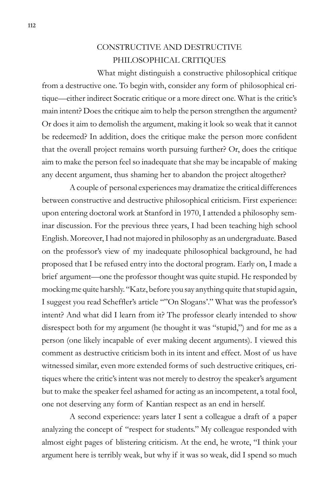## CONSTRUCTIVE AND DESTRUCTIVE PHILOSOPHICAL CRITIQUES

What might distinguish a constructive philosophical critique from a destructive one. To begin with, consider any form of philosophical critique—either indirect Socratic critique or a more direct one. What is the critic's main intent? Does the critique aim to help the person strengthen the argument? Or does it aim to demolish the argument, making it look so weak that it cannot be redeemed? In addition, does the critique make the person more confident that the overall project remains worth pursuing further? Or, does the critique aim to make the person feel so inadequate that she may be incapable of making any decent argument, thus shaming her to abandon the project altogether?

A couple of personal experiences may dramatize the critical differences between constructive and destructive philosophical criticism. First experience: upon entering doctoral work at Stanford in 1970, I attended a philosophy seminar discussion. For the previous three years, I had been teaching high school English. Moreover, I had not majored in philosophy as an undergraduate. Based on the professor's view of my inadequate philosophical background, he had proposed that I be refused entry into the doctoral program. Early on, I made a brief argument—one the professor thought was quite stupid. He responded by mocking me quite harshly. "Katz, before you say anything quite that stupid again, I suggest you read Scheffler's article ""On Slogans'." What was the professor's intent? And what did I learn from it? The professor clearly intended to show disrespect both for my argument (he thought it was "stupid,") and for me as a person (one likely incapable of ever making decent arguments). I viewed this comment as destructive criticism both in its intent and effect. Most of us have witnessed similar, even more extended forms of such destructive critiques, critiques where the critic's intent was not merely to destroy the speaker's argument but to make the speaker feel ashamed for acting as an incompetent, a total fool, one not deserving any form of Kantian respect as an end in herself.

A second experience: years later I sent a colleague a draft of a paper analyzing the concept of "respect for students." My colleague responded with almost eight pages of blistering criticism. At the end, he wrote, "I think your argument here is terribly weak, but why if it was so weak, did I spend so much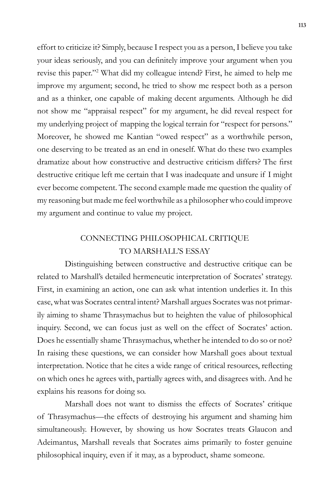effort to criticize it? Simply, because I respect you as a person, I believe you take your ideas seriously, and you can definitely improve your argument when you revise this paper."2 What did my colleague intend? First, he aimed to help me improve my argument; second, he tried to show me respect both as a person and as a thinker, one capable of making decent arguments. Although he did not show me "appraisal respect" for my argument, he did reveal respect for my underlying project of mapping the logical terrain for "respect for persons." Moreover, he showed me Kantian "owed respect" as a worthwhile person, one deserving to be treated as an end in oneself. What do these two examples dramatize about how constructive and destructive criticism differs? The first destructive critique left me certain that I was inadequate and unsure if I might ever become competent. The second example made me question the quality of my reasoning but made me feel worthwhile as a philosopher who could improve my argument and continue to value my project.

## CONNECTING PHILOSOPHICAL CRITIQUE TO MARSHALL'S ESSAY

Distinguishing between constructive and destructive critique can be related to Marshall's detailed hermeneutic interpretation of Socrates' strategy. First, in examining an action, one can ask what intention underlies it. In this case, what was Socrates central intent? Marshall argues Socrates was not primarily aiming to shame Thrasymachus but to heighten the value of philosophical inquiry. Second, we can focus just as well on the effect of Socrates' action. Does he essentially shame Thrasymachus, whether he intended to do so or not? In raising these questions, we can consider how Marshall goes about textual interpretation. Notice that he cites a wide range of critical resources, reflecting on which ones he agrees with, partially agrees with, and disagrees with. And he explains his reasons for doing so.

Marshall does not want to dismiss the effects of Socrates' critique of Thrasymachus—the effects of destroying his argument and shaming him simultaneously. However, by showing us how Socrates treats Glaucon and Adeimantus, Marshall reveals that Socrates aims primarily to foster genuine philosophical inquiry, even if it may, as a byproduct, shame someone.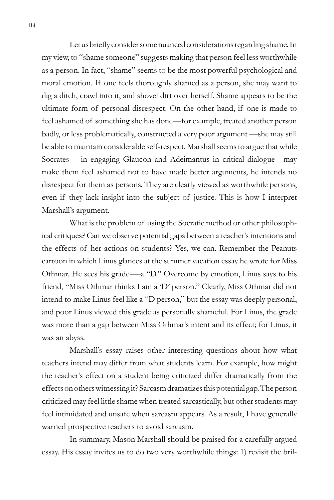Let us briefly consider some nuanced considerations regarding shame. In my view, to "shame someone" suggests making that person feel less worthwhile as a person. In fact, "shame" seems to be the most powerful psychological and moral emotion. If one feels thoroughly shamed as a person, she may want to dig a ditch, crawl into it, and shovel dirt over herself. Shame appears to be the ultimate form of personal disrespect. On the other hand, if one is made to feel ashamed of something she has done—for example, treated another person badly, or less problematically, constructed a very poor argument —she may still be able to maintain considerable self-respect. Marshall seems to argue that while Socrates— in engaging Glaucon and Adeimantus in critical dialogue—may make them feel ashamed not to have made better arguments, he intends no disrespect for them as persons. They are clearly viewed as worthwhile persons, even if they lack insight into the subject of justice. This is how I interpret Marshall's argument.

What is the problem of using the Socratic method or other philosophical critiques? Can we observe potential gaps between a teacher's intentions and the effects of her actions on students? Yes, we can. Remember the Peanuts cartoon in which Linus glances at the summer vacation essay he wrote for Miss Othmar. He sees his grade-—a "D." Overcome by emotion, Linus says to his friend, "Miss Othmar thinks I am a 'D' person." Clearly, Miss Othmar did not intend to make Linus feel like a "D person," but the essay was deeply personal, and poor Linus viewed this grade as personally shameful. For Linus, the grade was more than a gap between Miss Othmar's intent and its effect; for Linus, it was an abyss.

Marshall's essay raises other interesting questions about how what teachers intend may differ from what students learn. For example, how might the teacher's effect on a student being criticized differ dramatically from the effects on others witnessing it? Sarcasm dramatizes this potential gap. The person criticized may feel little shame when treated sarcastically, but other students may feel intimidated and unsafe when sarcasm appears. As a result, I have generally warned prospective teachers to avoid sarcasm.

In summary, Mason Marshall should be praised for a carefully argued essay. His essay invites us to do two very worthwhile things: 1) revisit the bril